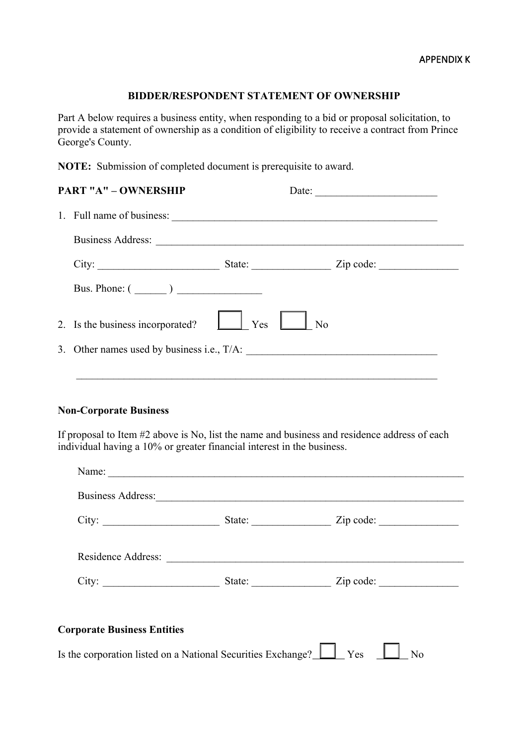## **BIDDER/RESPONDENT STATEMENT OF OWNERSHIP**

Part A below requires a business entity, when responding to a bid or proposal solicitation, to provide a statement of ownership as a condition of eligibility to receive a contract from Prince George's County.

**NOTE:** Submission of completed document is prerequisite to award.

| <b>PART "A" - OWNERSHIP</b>      | Date:<br>the control of the control of the control of the control of |                |  |
|----------------------------------|----------------------------------------------------------------------|----------------|--|
| 1. Full name of business:        |                                                                      |                |  |
|                                  |                                                                      |                |  |
|                                  |                                                                      |                |  |
| Bus. Phone: $(\_\_\_\_)$         |                                                                      |                |  |
| 2. Is the business incorporated? | $\Box$ Yes $\Box$                                                    | N <sub>o</sub> |  |
|                                  |                                                                      |                |  |
|                                  |                                                                      |                |  |

## **Non-Corporate Business**

If proposal to Item #2 above is No, list the name and business and residence address of each individual having a 10% or greater financial interest in the business.

|                                    | Business Address:  |                         |
|------------------------------------|--------------------|-------------------------|
| City:                              |                    | State: <u>Zip</u> code: |
|                                    | Residence Address: |                         |
| City:                              |                    | State: <u>Zip</u> code: |
|                                    |                    |                         |
| <b>Corporate Business Entities</b> |                    |                         |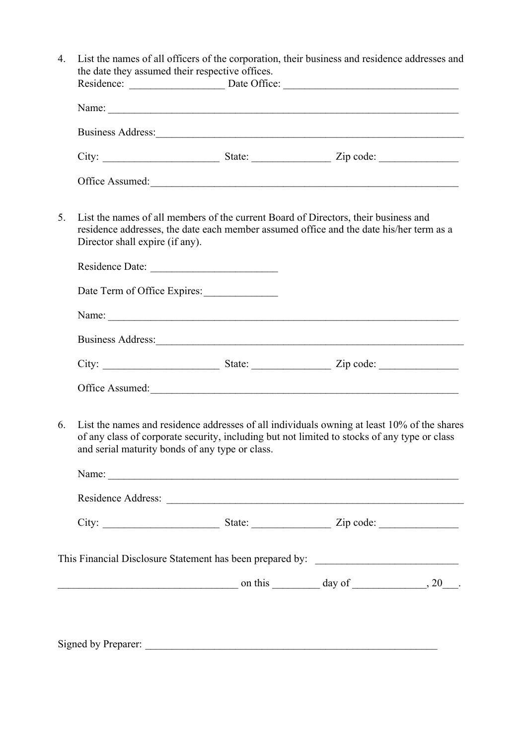|    |                                                                                                                                                                                                                                                | the date they assumed their respective offices. | Residence: <u>Date Office:</u> Date Office:                                       |  |  |  |  |
|----|------------------------------------------------------------------------------------------------------------------------------------------------------------------------------------------------------------------------------------------------|-------------------------------------------------|-----------------------------------------------------------------------------------|--|--|--|--|
|    | Name:                                                                                                                                                                                                                                          |                                                 |                                                                                   |  |  |  |  |
|    |                                                                                                                                                                                                                                                |                                                 |                                                                                   |  |  |  |  |
|    |                                                                                                                                                                                                                                                |                                                 |                                                                                   |  |  |  |  |
|    |                                                                                                                                                                                                                                                |                                                 | Office Assumed:                                                                   |  |  |  |  |
| 5. | List the names of all members of the current Board of Directors, their business and<br>residence addresses, the date each member assumed office and the date his/her term as a<br>Director shall expire (if any).                              |                                                 |                                                                                   |  |  |  |  |
|    |                                                                                                                                                                                                                                                |                                                 |                                                                                   |  |  |  |  |
|    |                                                                                                                                                                                                                                                | Date Term of Office Expires:                    |                                                                                   |  |  |  |  |
|    |                                                                                                                                                                                                                                                |                                                 |                                                                                   |  |  |  |  |
|    |                                                                                                                                                                                                                                                |                                                 |                                                                                   |  |  |  |  |
|    |                                                                                                                                                                                                                                                |                                                 |                                                                                   |  |  |  |  |
|    |                                                                                                                                                                                                                                                |                                                 | Office Assumed:                                                                   |  |  |  |  |
| 6. | List the names and residence addresses of all individuals owning at least 10% of the shares<br>of any class of corporate security, including but not limited to stocks of any type or class<br>and serial maturity bonds of any type or class. |                                                 |                                                                                   |  |  |  |  |
|    |                                                                                                                                                                                                                                                |                                                 |                                                                                   |  |  |  |  |
|    |                                                                                                                                                                                                                                                |                                                 |                                                                                   |  |  |  |  |
|    |                                                                                                                                                                                                                                                |                                                 |                                                                                   |  |  |  |  |
|    |                                                                                                                                                                                                                                                |                                                 |                                                                                   |  |  |  |  |
|    |                                                                                                                                                                                                                                                |                                                 | This Financial Disclosure Statement has been prepared by: _______________________ |  |  |  |  |

Signed by Preparer: \_\_\_\_\_\_\_\_\_\_\_\_\_\_\_\_\_\_\_\_\_\_\_\_\_\_\_\_\_\_\_\_\_\_\_\_\_\_\_\_\_\_\_\_\_\_\_\_\_\_\_\_\_\_\_